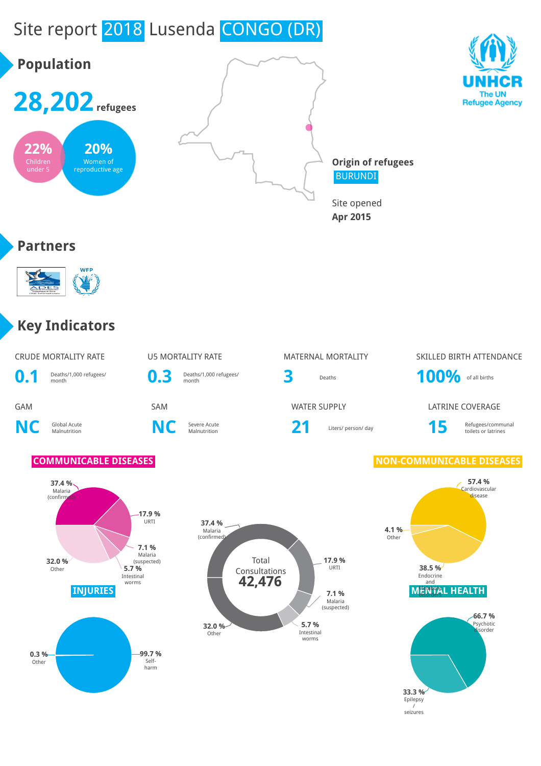# Site report 2018 Lusenda CONGO (DR)



/ seizures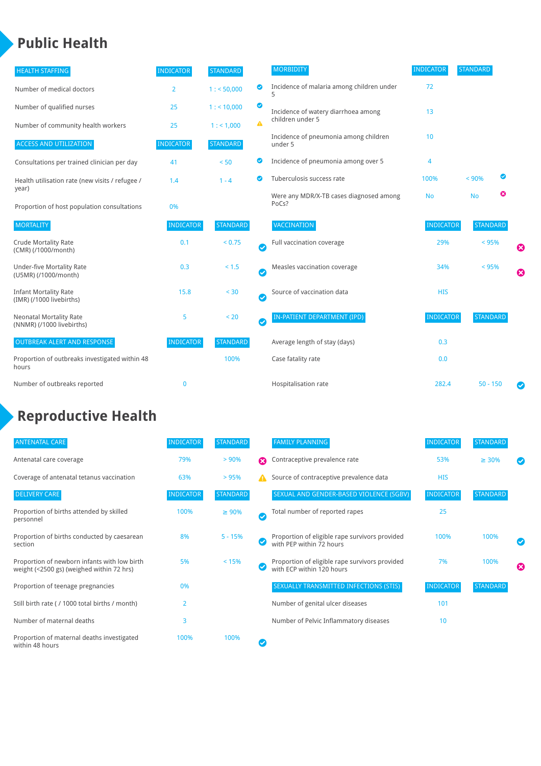### **Public Health**

| <b>HEALTH STAFFING</b>                                      | <b>INDICATOR</b> | <b>STANDARD</b> |           | <b>MORBIDITY</b>                                 | <b>INDICATOR</b> | <b>STANDARD</b> |   |   |
|-------------------------------------------------------------|------------------|-----------------|-----------|--------------------------------------------------|------------------|-----------------|---|---|
| Number of medical doctors                                   | 2                | 1: 50,000       | ◎         | Incidence of malaria among children under        | 72               |                 |   |   |
| Number of qualified nurses                                  | 25               | $1:$ < 10,000   | ◙         | Incidence of watery diarrhoea among              | 13               |                 |   |   |
| Number of community health workers                          | 25               | 1: 1,000        | A         | children under 5                                 |                  |                 |   |   |
| <b>ACCESS AND UTILIZATION</b>                               | <b>INDICATOR</b> | <b>STANDARD</b> |           | Incidence of pneumonia among children<br>under 5 | 10 <sup>1</sup>  |                 |   |   |
| Consultations per trained clinician per day                 | 41               | < 50            | ◙         | Incidence of pneumonia among over 5              | 4                |                 |   |   |
| Health utilisation rate (new visits / refugee /             | 1.4              | $1 - 4$         | ◙         | Tuberculosis success rate                        | 100%             | < 90%           | ◙ |   |
| year)<br>Proportion of host population consultations        | 0%               |                 |           | Were any MDR/X-TB cases diagnosed among<br>PoCs? | <b>No</b>        | <b>No</b>       | ☺ |   |
| <b>MORTALITY</b>                                            | <b>INDICATOR</b> | <b>STANDARD</b> |           | VACCINATION                                      | <b>INDICATOR</b> | <b>STANDARD</b> |   |   |
| <b>Crude Mortality Rate</b><br>(CMR) (/1000/month)          | 0.1              | < 0.75          | Ø         | Full vaccination coverage                        | 29%              | $< 95\%$        |   | Ø |
| <b>Under-five Mortality Rate</b><br>(U5MR) (/1000/month)    | 0.3              | $< 1.5$         | $\bullet$ | Measles vaccination coverage                     | 34%              | < 95%           |   | 0 |
| <b>Infant Mortality Rate</b><br>(IMR) (/1000 livebirths)    | 15.8             | < 30            | $\bullet$ | Source of vaccination data                       | <b>HIS</b>       |                 |   |   |
| <b>Neonatal Mortality Rate</b><br>(NNMR) (/1000 livebirths) | 5                | < 20            | $\bullet$ | <b>IN-PATIENT DEPARTMENT (IPD)</b>               | <b>INDICATOR</b> | <b>STANDARD</b> |   |   |
| <b>OUTBREAK ALERT AND RESPONSE</b>                          | <b>INDICATOR</b> | <b>STANDARD</b> |           | Average length of stay (days)                    | 0.3              |                 |   |   |
| Proportion of outbreaks investigated within 48<br>hours     |                  | 100%            |           | Case fatality rate                               | 0.0              |                 |   |   |
| Number of outbreaks reported                                | $\mathbf{0}$     |                 |           | Hospitalisation rate                             | 282.4            | $50 - 150$      |   |   |

# **Reproductive Health**

| <b>ANTENATAL CARE</b>                                                                     | <b>INDICATOR</b> | <b>STANDARD</b> |              | <b>FAMILY PLANNING</b>                                                      | <b>INDICATOR</b> | <b>STANDARD</b> |   |
|-------------------------------------------------------------------------------------------|------------------|-----------------|--------------|-----------------------------------------------------------------------------|------------------|-----------------|---|
| Antenatal care coverage                                                                   | 79%              | > 90%           | Ω            | Contraceptive prevalence rate                                               | 53%              | $\geq 30\%$     |   |
| Coverage of antenatal tetanus vaccination                                                 | 63%              | >95%            |              | Source of contraceptive prevalence data                                     | <b>HIS</b>       |                 |   |
| <b>DELIVERY CARE</b>                                                                      | <b>INDICATOR</b> | <b>STANDARD</b> |              | SEXUAL AND GENDER-BASED VIOLENCE (SGBV)                                     | <b>INDICATOR</b> | <b>STANDARD</b> |   |
| Proportion of births attended by skilled<br>personnel                                     | 100%             | $\geq 90\%$     | $\checkmark$ | Total number of reported rapes                                              | 25               |                 |   |
| Proportion of births conducted by caesarean<br>section                                    | 8%               | $5 - 15%$       |              | Proportion of eligible rape survivors provided<br>with PEP within 72 hours  | 100%             | 100%            |   |
| Proportion of newborn infants with low birth<br>weight (<2500 gs) (weighed within 72 hrs) | 5%               | < 15%           |              | Proportion of eligible rape survivors provided<br>with ECP within 120 hours | 7%               | 100%            | Ø |
| Proportion of teenage pregnancies                                                         | 0%               |                 |              | SEXUALLY TRANSMITTED INFECTIONS (STIS)                                      | <b>INDICATOR</b> | <b>STANDARD</b> |   |
| Still birth rate (/ 1000 total births / month)                                            | $\overline{2}$   |                 |              | Number of genital ulcer diseases                                            | 101              |                 |   |
| Number of maternal deaths                                                                 | 3                |                 |              | Number of Pelvic Inflammatory diseases                                      | 10               |                 |   |
| Proportion of maternal deaths investigated<br>within 48 hours                             | 100%             | 100%            |              |                                                                             |                  |                 |   |